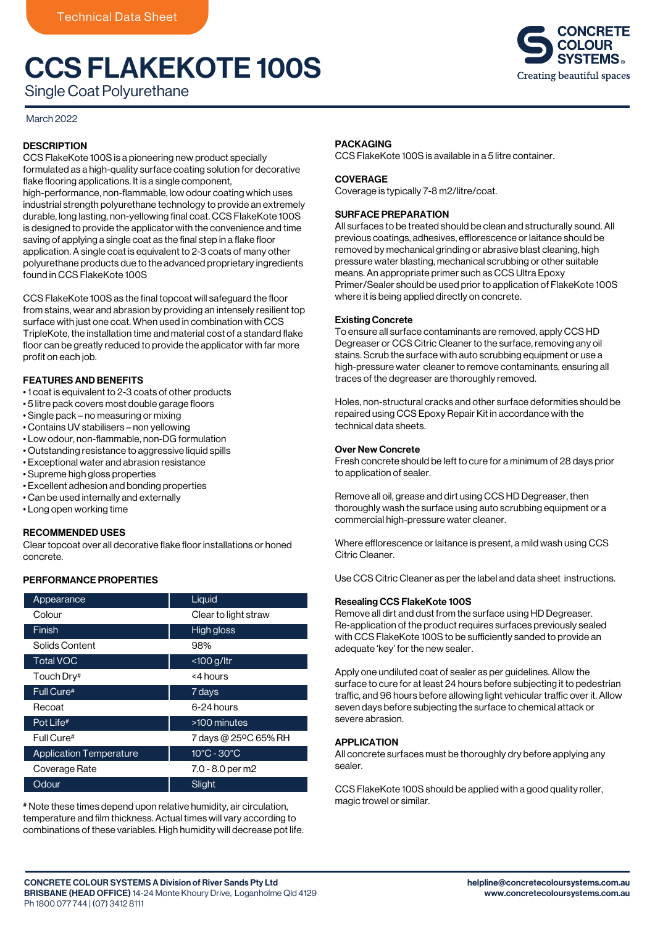# CCS FLAKEKOTE 100S



Single Coat Polyurethane

## March 2022

## **DESCRIPTION**

CCS FlakeKote 100S is a pioneering new product specially formulated as a high-quality surface coating solution for decorative flake flooring applications. It is a single component, high-performance, non-flammable, low odour coating which uses industrial strength polyurethane technology to provide an extremely durable, long lasting, non-yellowing final coat. CCS FlakeKote 100S is designed to provide the applicator with the convenience and time saving of applying a single coat as the final step in a flake floor application. A single coat is equivalent to 2-3 coats of many other polyurethane products due to the advanced proprietary ingredients found in CCS FlakeKote 100S

CCS FlakeKote 100S as the final topcoat will safeguard the floor from stains, wear and abrasion by providing an intensely resilient top surface with just one coat. When used in combination with CCS TripleKote, the installation time and material cost of a standard flake floor can be greatly reduced to provide the applicator with far more profit on each job.

## FEATURES AND BENEFITS

- 1 coat is equivalent to 2-3 coats of other products
- 5 litre pack covers most double garage floors
- Single pack no measuring or mixing
- Contains UV stabilisers non yellowing
- Low odour, non-flammable, non-DG formulation
- Outstanding resistance to aggressive liquid spills
- Exceptional water and abrasion resistance
- Supreme high gloss properties
- Excellent adhesion and bonding properties
- Can be used internally and externally
- Long open working time

## RECOMMENDED USES

Clear topcoat over all decorative flake floor installations or honed concrete.

## PERFORMANCE PROPERTIES

| Appearance                     | Liquid                          |
|--------------------------------|---------------------------------|
| Colour                         | Clear to light straw            |
| Finish                         | <b>High gloss</b>               |
| Solids Content                 | 98%                             |
| <b>Total VOC</b>               | $<$ 100 g/ltr                   |
| Touch Dry#                     | <4 hours                        |
| Full Cure#                     | 7 days                          |
| Recoat                         | 6-24 hours                      |
| Pot Life#                      | >100 minutes                    |
| Full Cure#                     | 7 days @ 25°C 65% RH            |
| <b>Application Temperature</b> | $10^{\circ}$ C - $30^{\circ}$ C |
| Coverage Rate                  | 7.0 - 8.0 per m2                |
| Odour                          | Slight                          |

# Note these times depend upon relative humidity, air circulation, temperature and film thickness. Actual times will vary according to combinations of these variables. High humidity will decrease pot life.

### **PACKAGING**

CCS FlakeKote 100S is available in a 5 litre container.

### **COVERAGE**

Coverage is typically 7-8 m2/litre/coat.

### SURFACE PREPARATION

All surfaces to be treated should be clean and structurally sound. All previous coatings, adhesives, efflorescence or laitance should be removed by mechanical grinding or abrasive blast cleaning, high pressure water blasting, mechanical scrubbing or other suitable means. An appropriate primer such as CCS Ultra Epoxy Primer/Sealer should be used prior to application of FlakeKote 100S where it is being applied directly on concrete.

### Existing Concrete

To ensure all surface contaminants are removed, apply CCS HD Degreaser or CCS Citric Cleaner to the surface, removing any oil stains. Scrub the surface with auto scrubbing equipment or use a high-pressure water cleaner to remove contaminants, ensuring all traces of the degreaser are thoroughly removed.

Holes, non-structural cracks and other surface deformities should be repaired using CCS Epoxy Repair Kit in accordance with the technical data sheets.

### Over New Concrete

Fresh concrete should be left to cure for a minimum of 28 days prior to application of sealer.

Remove all oil, grease and dirt using CCS HD Degreaser, then thoroughly wash the surface using auto scrubbing equipment or a commercial high-pressure water cleaner.

Where efflorescence or laitance is present, a mild wash using CCS Citric Cleaner.

Use CCS Citric Cleaner as per the label and data sheet instructions.

### Resealing CCS FlakeKote 100S

Remove all dirt and dust from the surface using HD Degreaser. Re-application of the product requires surfaces previously sealed with CCS FlakeKote 100S to be sufficiently sanded to provide an adequate 'key' for the new sealer.

Apply one undiluted coat of sealer as per guidelines. Allow the surface to cure for at least 24 hours before subjecting it to pedestrian traffic, and 96 hours before allowing light vehicular traffic over it. Allow seven days before subjecting the surface to chemical attack or severe abrasion.

## APPLICATION

All concrete surfaces must be thoroughly dry before applying any sealer.

CCS FlakeKote 100S should be applied with a good quality roller, magic trowel or similar.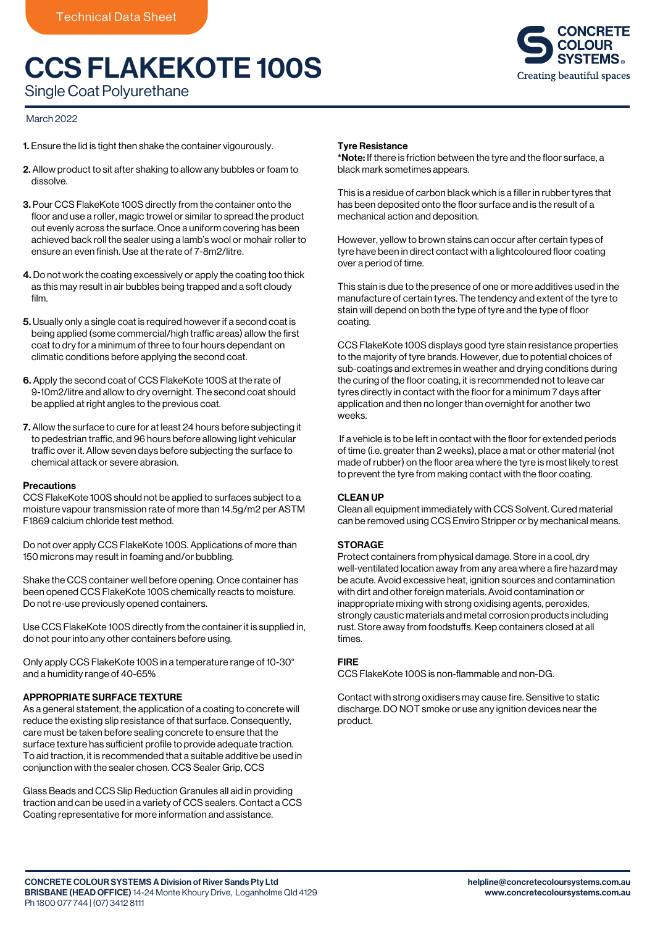# CCS FLAKEKOTE 100S



Single Coat Polyurethane

## March 2022

- 1. Ensure the lid is tight then shake the container vigourously.
- 2. Allow product to sit after shaking to allow any bubbles or foam to dissolve.
- 3. Pour CCS FlakeKote 100S directly from the container onto the floor and use a roller, magic trowel or similar to spread the product out evenly across the surface. Once a uniform covering has been achieved back roll the sealer using a lamb's wool or mohair roller to ensure an even finish. Use at the rate of 7-8m2/litre.
- 4. Do not work the coating excessively or apply the coating too thick as this may result in air bubbles being trapped and a soft cloudy film.
- 5. Usually only a single coat is required however if a second coat is being applied (some commercial/high traffic areas) allow the first coat to dry for a minimum of three to four hours dependant on climatic conditions before applying the second coat.
- 6. Apply the second coat of CCS FlakeKote 100S at the rate of 9-10m2/litre and allow to dry overnight. The second coat should be applied at right angles to the previous coat.
- 7. Allow the surface to cure for at least 24 hours before subjecting it to pedestrian traffic, and 96 hours before allowing light vehicular traffic over it. Allow seven days before subjecting the surface to chemical attack or severe abrasion.

### **Precautions**

CCS FlakeKote 100S should not be applied to surfaces subject to a moisture vapour transmission rate of more than 14.5g/m2 per ASTM F1869 calcium chloride test method.

Do not over apply CCS FlakeKote 100S. Applications of more than 150 microns may result in foaming and/or bubbling.

Shake the CCS container well before opening. Once container has been opened CCS FlakeKote 100S chemically reacts to moisture. Do not re-use previously opened containers.

Use CCS FlakeKote 100S directly from the container it is supplied in, do not pour into any other containers before using.

Only apply CCS FlakeKote 100S in a temperature range of 10-30° and a humidity range of 40-65%

## APPROPRIATE SURFACE TEXTURE

As a general statement, the application of a coating to concrete will reduce the existing slip resistance of that surface. Consequently, care must be taken before sealing concrete to ensure that the surface texture has sufficient profile to provide adequate traction. To aid traction, it is recommended that a suitable additive be used in conjunction with the sealer chosen. CCS Sealer Grip, CCS

Glass Beads and CCS Slip Reduction Granules all aid in providing traction and can be used in a variety of CCS sealers. Contact a CCS Coating representative for more information and assistance.

### Tyre Resistance

\*Note: If there is friction between the tyre and the floor surface, a black mark sometimes appears.

This is a residue of carbon black which is a filler in rubber tyres that has been deposited onto the floor surface and is the result of a mechanical action and deposition.

However, yellow to brown stains can occur after certain types of tyre have been in direct contact with a lightcoloured floor coating over a period of time.

This stain is due to the presence of one or more additives used in the manufacture of certain tyres. The tendency and extent of the tyre to stain will depend on both the type of tyre and the type of floor coating.

CCS FlakeKote 100S displays good tyre stain resistance properties to the majority of tyre brands. However, due to potential choices of sub-coatings and extremes in weather and drying conditions during the curing of the floor coating, it is recommended not to leave car tyres directly in contact with the floor for a minimum 7 days after application and then no longer than overnight for another two weeks.

 If a vehicle is to be left in contact with the floor for extended periods of time (i.e. greater than 2 weeks), place a mat or other material (not made of rubber) on the floor area where the tyre is most likely to rest to prevent the tyre from making contact with the floor coating.

### CLEAN UP

Clean all equipment immediately with CCS Solvent. Cured material can be removed using CCS Enviro Stripper or by mechanical means.

### STORAGE

Protect containers from physical damage. Store in a cool, dry well-ventilated location away from any area where a fire hazard may be acute. Avoid excessive heat, ignition sources and contamination with dirt and other foreign materials. Avoid contamination or inappropriate mixing with strong oxidising agents, peroxides, strongly caustic materials and metal corrosion products including rust. Store away from foodstuffs. Keep containers closed at all times.

### FIRE

CCS FlakeKote 100S is non-flammable and non-DG.

Contact with strong oxidisers may cause fire. Sensitive to static discharge. DO NOT smoke or use any ignition devices near the product.